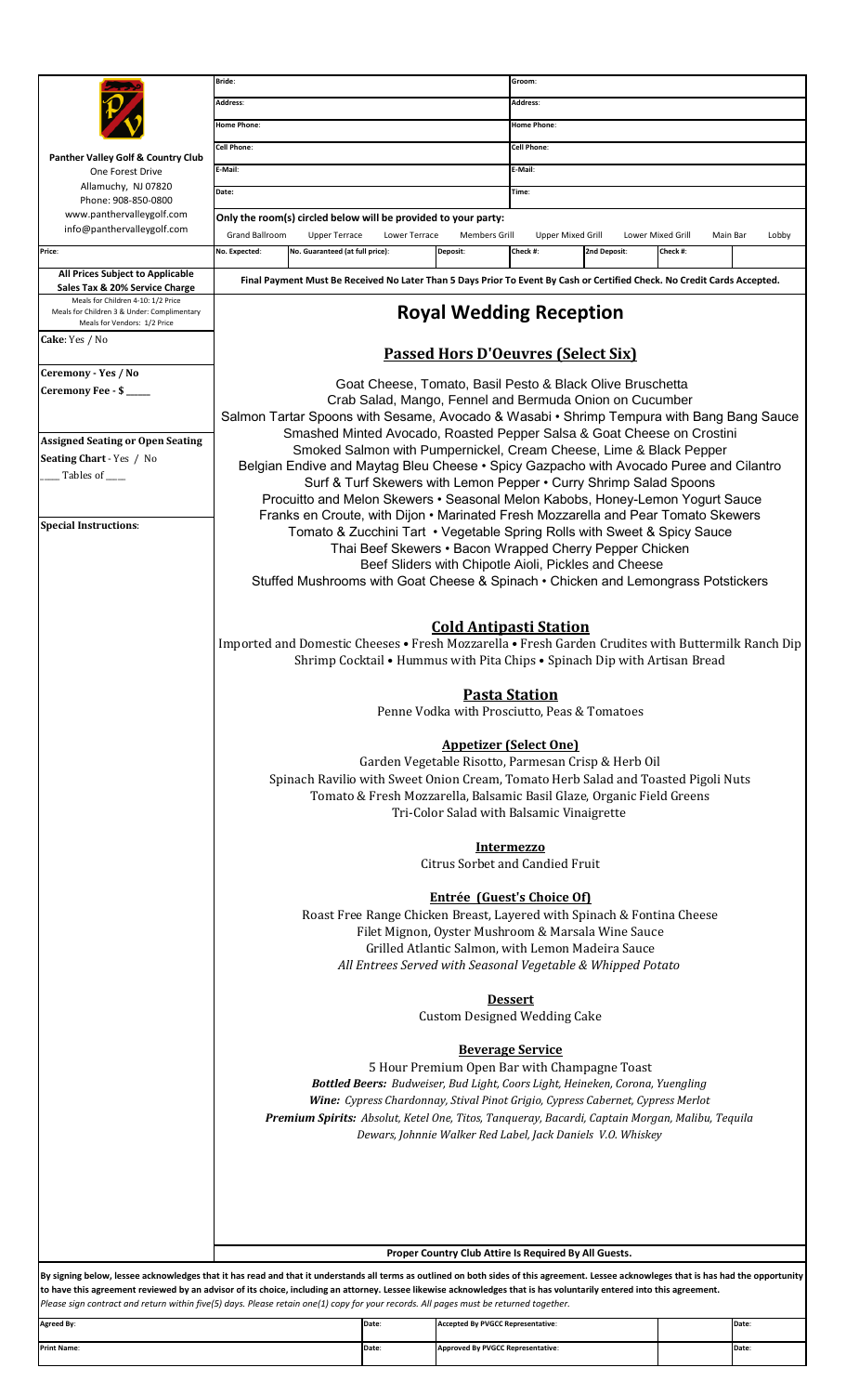|                                                                                                                                                                                          | Bride:                                                                                                                                                                                                                                                                                                                                                                                                        |                                                                       |                                          | Groom:                                                      |                   |          |                   |  |
|------------------------------------------------------------------------------------------------------------------------------------------------------------------------------------------|---------------------------------------------------------------------------------------------------------------------------------------------------------------------------------------------------------------------------------------------------------------------------------------------------------------------------------------------------------------------------------------------------------------|-----------------------------------------------------------------------|------------------------------------------|-------------------------------------------------------------|-------------------|----------|-------------------|--|
|                                                                                                                                                                                          | Address:                                                                                                                                                                                                                                                                                                                                                                                                      |                                                                       |                                          | <b>Address:</b>                                             |                   |          |                   |  |
|                                                                                                                                                                                          | Home Phone:                                                                                                                                                                                                                                                                                                                                                                                                   |                                                                       | <b>Home Phone:</b>                       |                                                             |                   |          |                   |  |
|                                                                                                                                                                                          | Cell Phone:                                                                                                                                                                                                                                                                                                                                                                                                   |                                                                       | <b>Cell Phone:</b>                       |                                                             |                   |          |                   |  |
| Panther Valley Golf & Country Club                                                                                                                                                       | E-Mail:                                                                                                                                                                                                                                                                                                                                                                                                       |                                                                       | E-Mail:                                  |                                                             |                   |          |                   |  |
| One Forest Drive<br>Allamuchy, NJ 07820                                                                                                                                                  |                                                                                                                                                                                                                                                                                                                                                                                                               |                                                                       |                                          |                                                             |                   |          |                   |  |
| Phone: 908-850-0800                                                                                                                                                                      | Date:                                                                                                                                                                                                                                                                                                                                                                                                         |                                                                       |                                          | Time:                                                       |                   |          |                   |  |
| www.panthervalleygolf.com                                                                                                                                                                | Only the room(s) circled below will be provided to your party:                                                                                                                                                                                                                                                                                                                                                |                                                                       |                                          |                                                             |                   |          |                   |  |
| info@panthervalleygolf.com                                                                                                                                                               | Grand Ballroom<br><b>Upper Terrace</b>                                                                                                                                                                                                                                                                                                                                                                        | Lower Terrace                                                         | <b>Members Grill</b>                     | <b>Upper Mixed Grill</b>                                    | Lower Mixed Grill |          | Main Bar<br>Lobby |  |
| Price:                                                                                                                                                                                   | No. Expected:<br>No. Guaranteed (at full price):                                                                                                                                                                                                                                                                                                                                                              |                                                                       | Deposit:                                 | Check #:                                                    | 2nd Deposit:      | Check #: |                   |  |
| All Prices Subject to Applicable                                                                                                                                                         |                                                                                                                                                                                                                                                                                                                                                                                                               |                                                                       |                                          |                                                             |                   |          |                   |  |
| Sales Tax & 20% Service Charge                                                                                                                                                           | Final Payment Must Be Received No Later Than 5 Days Prior To Event By Cash or Certified Check. No Credit Cards Accepted.                                                                                                                                                                                                                                                                                      |                                                                       |                                          |                                                             |                   |          |                   |  |
| Meals for Children 4-10: 1/2 Price<br>Meals for Children 3 & Under: Complimentary<br>Meals for Vendors: 1/2 Price                                                                        | <b>Royal Wedding Reception</b>                                                                                                                                                                                                                                                                                                                                                                                |                                                                       |                                          |                                                             |                   |          |                   |  |
| <b>Cake</b> : Yes / No                                                                                                                                                                   | <b>Passed Hors D'Oeuvres (Select Six)</b>                                                                                                                                                                                                                                                                                                                                                                     |                                                                       |                                          |                                                             |                   |          |                   |  |
| Ceremony - Yes / No                                                                                                                                                                      |                                                                                                                                                                                                                                                                                                                                                                                                               |                                                                       |                                          |                                                             |                   |          |                   |  |
| Ceremony Fee - \$                                                                                                                                                                        | Goat Cheese, Tomato, Basil Pesto & Black Olive Bruschetta<br>Crab Salad, Mango, Fennel and Bermuda Onion on Cucumber<br>Salmon Tartar Spoons with Sesame, Avocado & Wasabi • Shrimp Tempura with Bang Bang Sauce                                                                                                                                                                                              |                                                                       |                                          |                                                             |                   |          |                   |  |
|                                                                                                                                                                                          |                                                                                                                                                                                                                                                                                                                                                                                                               |                                                                       |                                          |                                                             |                   |          |                   |  |
|                                                                                                                                                                                          |                                                                                                                                                                                                                                                                                                                                                                                                               |                                                                       |                                          |                                                             |                   |          |                   |  |
| <b>Assigned Seating or Open Seating</b>                                                                                                                                                  | Smashed Minted Avocado, Roasted Pepper Salsa & Goat Cheese on Crostini                                                                                                                                                                                                                                                                                                                                        |                                                                       |                                          |                                                             |                   |          |                   |  |
| Seating Chart - Yes / No                                                                                                                                                                 | Smoked Salmon with Pumpernickel, Cream Cheese, Lime & Black Pepper                                                                                                                                                                                                                                                                                                                                            |                                                                       |                                          |                                                             |                   |          |                   |  |
| Tables of _____                                                                                                                                                                          | Belgian Endive and Maytag Bleu Cheese • Spicy Gazpacho with Avocado Puree and Cilantro                                                                                                                                                                                                                                                                                                                        |                                                                       |                                          |                                                             |                   |          |                   |  |
|                                                                                                                                                                                          | Surf & Turf Skewers with Lemon Pepper . Curry Shrimp Salad Spoons                                                                                                                                                                                                                                                                                                                                             |                                                                       |                                          |                                                             |                   |          |                   |  |
|                                                                                                                                                                                          | Procuitto and Melon Skewers • Seasonal Melon Kabobs, Honey-Lemon Yogurt Sauce                                                                                                                                                                                                                                                                                                                                 |                                                                       |                                          |                                                             |                   |          |                   |  |
| <b>Special Instructions:</b>                                                                                                                                                             | Franks en Croute, with Dijon • Marinated Fresh Mozzarella and Pear Tomato Skewers                                                                                                                                                                                                                                                                                                                             |                                                                       |                                          |                                                             |                   |          |                   |  |
|                                                                                                                                                                                          | Tomato & Zucchini Tart • Vegetable Spring Rolls with Sweet & Spicy Sauce                                                                                                                                                                                                                                                                                                                                      |                                                                       |                                          |                                                             |                   |          |                   |  |
|                                                                                                                                                                                          | Thai Beef Skewers · Bacon Wrapped Cherry Pepper Chicken                                                                                                                                                                                                                                                                                                                                                       |                                                                       |                                          |                                                             |                   |          |                   |  |
|                                                                                                                                                                                          | Beef Sliders with Chipotle Aioli, Pickles and Cheese<br>Stuffed Mushrooms with Goat Cheese & Spinach • Chicken and Lemongrass Potstickers                                                                                                                                                                                                                                                                     |                                                                       |                                          |                                                             |                   |          |                   |  |
|                                                                                                                                                                                          |                                                                                                                                                                                                                                                                                                                                                                                                               |                                                                       |                                          |                                                             |                   |          |                   |  |
|                                                                                                                                                                                          |                                                                                                                                                                                                                                                                                                                                                                                                               |                                                                       |                                          |                                                             |                   |          |                   |  |
|                                                                                                                                                                                          | <b>Cold Antipasti Station</b><br>Imported and Domestic Cheeses • Fresh Mozzarella • Fresh Garden Crudites with Buttermilk Ranch Dip                                                                                                                                                                                                                                                                           |                                                                       |                                          |                                                             |                   |          |                   |  |
|                                                                                                                                                                                          |                                                                                                                                                                                                                                                                                                                                                                                                               |                                                                       |                                          |                                                             |                   |          |                   |  |
|                                                                                                                                                                                          | Shrimp Cocktail • Hummus with Pita Chips • Spinach Dip with Artisan Bread                                                                                                                                                                                                                                                                                                                                     |                                                                       |                                          |                                                             |                   |          |                   |  |
|                                                                                                                                                                                          |                                                                                                                                                                                                                                                                                                                                                                                                               |                                                                       |                                          |                                                             |                   |          |                   |  |
|                                                                                                                                                                                          | <u>Pasta Station</u>                                                                                                                                                                                                                                                                                                                                                                                          |                                                                       |                                          |                                                             |                   |          |                   |  |
|                                                                                                                                                                                          | Penne Vodka with Prosciutto, Peas & Tomatoes                                                                                                                                                                                                                                                                                                                                                                  |                                                                       |                                          |                                                             |                   |          |                   |  |
|                                                                                                                                                                                          |                                                                                                                                                                                                                                                                                                                                                                                                               |                                                                       |                                          |                                                             |                   |          |                   |  |
|                                                                                                                                                                                          | <b>Appetizer (Select One)</b><br>Garden Vegetable Risotto, Parmesan Crisp & Herb Oil                                                                                                                                                                                                                                                                                                                          |                                                                       |                                          |                                                             |                   |          |                   |  |
|                                                                                                                                                                                          |                                                                                                                                                                                                                                                                                                                                                                                                               |                                                                       |                                          |                                                             |                   |          |                   |  |
|                                                                                                                                                                                          | Spinach Ravilio with Sweet Onion Cream, Tomato Herb Salad and Toasted Pigoli Nuts                                                                                                                                                                                                                                                                                                                             |                                                                       |                                          |                                                             |                   |          |                   |  |
|                                                                                                                                                                                          |                                                                                                                                                                                                                                                                                                                                                                                                               | Tomato & Fresh Mozzarella, Balsamic Basil Glaze, Organic Field Greens |                                          |                                                             |                   |          |                   |  |
|                                                                                                                                                                                          | Tri-Color Salad with Balsamic Vinaigrette                                                                                                                                                                                                                                                                                                                                                                     |                                                                       |                                          |                                                             |                   |          |                   |  |
|                                                                                                                                                                                          |                                                                                                                                                                                                                                                                                                                                                                                                               |                                                                       |                                          |                                                             |                   |          |                   |  |
|                                                                                                                                                                                          | <b>Intermezzo</b>                                                                                                                                                                                                                                                                                                                                                                                             |                                                                       |                                          |                                                             |                   |          |                   |  |
|                                                                                                                                                                                          | <b>Citrus Sorbet and Candied Fruit</b>                                                                                                                                                                                                                                                                                                                                                                        |                                                                       |                                          |                                                             |                   |          |                   |  |
|                                                                                                                                                                                          |                                                                                                                                                                                                                                                                                                                                                                                                               |                                                                       |                                          |                                                             |                   |          |                   |  |
|                                                                                                                                                                                          | <b>Entrée (Guest's Choice Of)</b>                                                                                                                                                                                                                                                                                                                                                                             |                                                                       |                                          |                                                             |                   |          |                   |  |
|                                                                                                                                                                                          | Roast Free Range Chicken Breast, Layered with Spinach & Fontina Cheese                                                                                                                                                                                                                                                                                                                                        |                                                                       |                                          |                                                             |                   |          |                   |  |
|                                                                                                                                                                                          | Filet Mignon, Oyster Mushroom & Marsala Wine Sauce                                                                                                                                                                                                                                                                                                                                                            |                                                                       |                                          |                                                             |                   |          |                   |  |
|                                                                                                                                                                                          |                                                                                                                                                                                                                                                                                                                                                                                                               | Grilled Atlantic Salmon, with Lemon Madeira Sauce                     |                                          |                                                             |                   |          |                   |  |
|                                                                                                                                                                                          |                                                                                                                                                                                                                                                                                                                                                                                                               |                                                                       |                                          | All Entrees Served with Seasonal Vegetable & Whipped Potato |                   |          |                   |  |
|                                                                                                                                                                                          |                                                                                                                                                                                                                                                                                                                                                                                                               |                                                                       |                                          |                                                             |                   |          |                   |  |
|                                                                                                                                                                                          | <b>Dessert</b>                                                                                                                                                                                                                                                                                                                                                                                                |                                                                       |                                          |                                                             |                   |          |                   |  |
|                                                                                                                                                                                          | <b>Custom Designed Wedding Cake</b>                                                                                                                                                                                                                                                                                                                                                                           |                                                                       |                                          |                                                             |                   |          |                   |  |
|                                                                                                                                                                                          |                                                                                                                                                                                                                                                                                                                                                                                                               |                                                                       |                                          |                                                             |                   |          |                   |  |
|                                                                                                                                                                                          | <b>Beverage Service</b><br>5 Hour Premium Open Bar with Champagne Toast<br>Bottled Beers: Budweiser, Bud Light, Coors Light, Heineken, Corona, Yuengling<br>Wine: Cypress Chardonnay, Stival Pinot Grigio, Cypress Cabernet, Cypress Merlot<br>Premium Spirits: Absolut, Ketel One, Titos, Tanqueray, Bacardi, Captain Morgan, Malibu, Tequila<br>Dewars, Johnnie Walker Red Label, Jack Daniels V.O. Whiskey |                                                                       |                                          |                                                             |                   |          |                   |  |
|                                                                                                                                                                                          |                                                                                                                                                                                                                                                                                                                                                                                                               |                                                                       |                                          |                                                             |                   |          |                   |  |
|                                                                                                                                                                                          |                                                                                                                                                                                                                                                                                                                                                                                                               |                                                                       |                                          |                                                             |                   |          |                   |  |
|                                                                                                                                                                                          |                                                                                                                                                                                                                                                                                                                                                                                                               |                                                                       |                                          |                                                             |                   |          |                   |  |
|                                                                                                                                                                                          |                                                                                                                                                                                                                                                                                                                                                                                                               |                                                                       |                                          |                                                             |                   |          |                   |  |
|                                                                                                                                                                                          |                                                                                                                                                                                                                                                                                                                                                                                                               |                                                                       |                                          |                                                             |                   |          |                   |  |
|                                                                                                                                                                                          |                                                                                                                                                                                                                                                                                                                                                                                                               |                                                                       |                                          |                                                             |                   |          |                   |  |
|                                                                                                                                                                                          |                                                                                                                                                                                                                                                                                                                                                                                                               |                                                                       |                                          |                                                             |                   |          |                   |  |
|                                                                                                                                                                                          |                                                                                                                                                                                                                                                                                                                                                                                                               |                                                                       |                                          |                                                             |                   |          |                   |  |
|                                                                                                                                                                                          |                                                                                                                                                                                                                                                                                                                                                                                                               |                                                                       |                                          |                                                             |                   |          |                   |  |
|                                                                                                                                                                                          |                                                                                                                                                                                                                                                                                                                                                                                                               |                                                                       |                                          |                                                             |                   |          |                   |  |
|                                                                                                                                                                                          |                                                                                                                                                                                                                                                                                                                                                                                                               |                                                                       |                                          |                                                             |                   |          |                   |  |
|                                                                                                                                                                                          | Proper Country Club Attire Is Required By All Guests.                                                                                                                                                                                                                                                                                                                                                         |                                                                       |                                          |                                                             |                   |          |                   |  |
| By signing below, lessee acknowledges that it has read and that it understands all terms as outlined on both sides of this agreement. Lessee acknowleges that is has had the opportunity |                                                                                                                                                                                                                                                                                                                                                                                                               |                                                                       |                                          |                                                             |                   |          |                   |  |
| to have this agreement reviewed by an advisor of its choice, including an attorney. Lessee likewise acknowledges that is has voluntarily entered into this agreement.                    |                                                                                                                                                                                                                                                                                                                                                                                                               |                                                                       |                                          |                                                             |                   |          |                   |  |
| Please sign contract and return within five(5) days. Please retain one(1) copy for your records. All pages must be returned together.                                                    |                                                                                                                                                                                                                                                                                                                                                                                                               |                                                                       |                                          |                                                             |                   |          |                   |  |
| <b>Agreed By:</b>                                                                                                                                                                        |                                                                                                                                                                                                                                                                                                                                                                                                               | Date:                                                                 | <b>Accepted By PVGCC Representative:</b> |                                                             |                   |          | Date:             |  |
|                                                                                                                                                                                          |                                                                                                                                                                                                                                                                                                                                                                                                               |                                                                       |                                          |                                                             |                   |          |                   |  |

**Date**: **Date**: **Print Name**: **Approved By PVGCC Representative**: